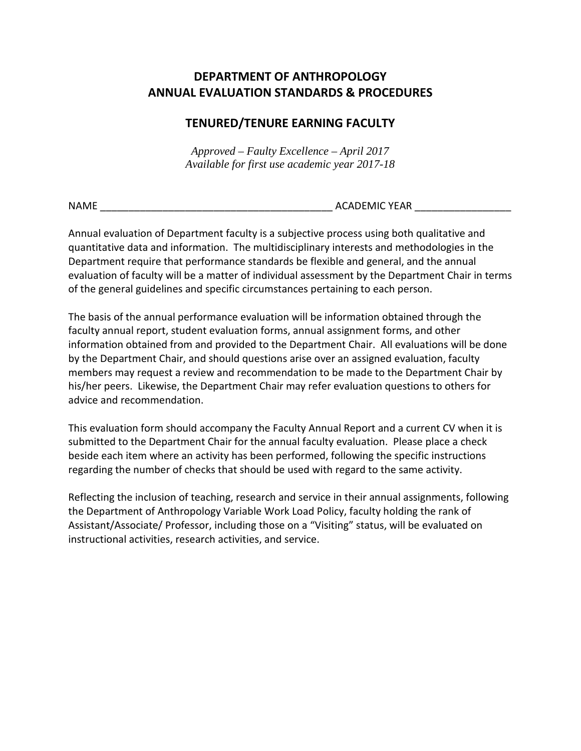## **DEPARTMENT OF ANTHROPOLOGY ANNUAL EVALUATION STANDARDS & PROCEDURES**

## **TENURED/TENURE EARNING FACULTY**

*Approved – Faulty Excellence – April 2017 Available for first use academic year 2017-18*

NAME \_\_\_\_\_\_\_\_\_\_\_\_\_\_\_\_\_\_\_\_\_\_\_\_\_\_\_\_\_\_\_\_\_\_\_\_\_\_\_\_\_ ACADEMIC YEAR \_\_\_\_\_\_\_\_\_\_\_\_\_\_\_\_\_

Annual evaluation of Department faculty is a subjective process using both qualitative and quantitative data and information. The multidisciplinary interests and methodologies in the Department require that performance standards be flexible and general, and the annual evaluation of faculty will be a matter of individual assessment by the Department Chair in terms of the general guidelines and specific circumstances pertaining to each person.

The basis of the annual performance evaluation will be information obtained through the faculty annual report, student evaluation forms, annual assignment forms, and other information obtained from and provided to the Department Chair. All evaluations will be done by the Department Chair, and should questions arise over an assigned evaluation, faculty members may request a review and recommendation to be made to the Department Chair by his/her peers. Likewise, the Department Chair may refer evaluation questions to others for advice and recommendation.

This evaluation form should accompany the Faculty Annual Report and a current CV when it is submitted to the Department Chair for the annual faculty evaluation. Please place a check beside each item where an activity has been performed, following the specific instructions regarding the number of checks that should be used with regard to the same activity.

Reflecting the inclusion of teaching, research and service in their annual assignments, following the Department of Anthropology Variable Work Load Policy, faculty holding the rank of Assistant/Associate/ Professor, including those on a "Visiting" status, will be evaluated on instructional activities, research activities, and service.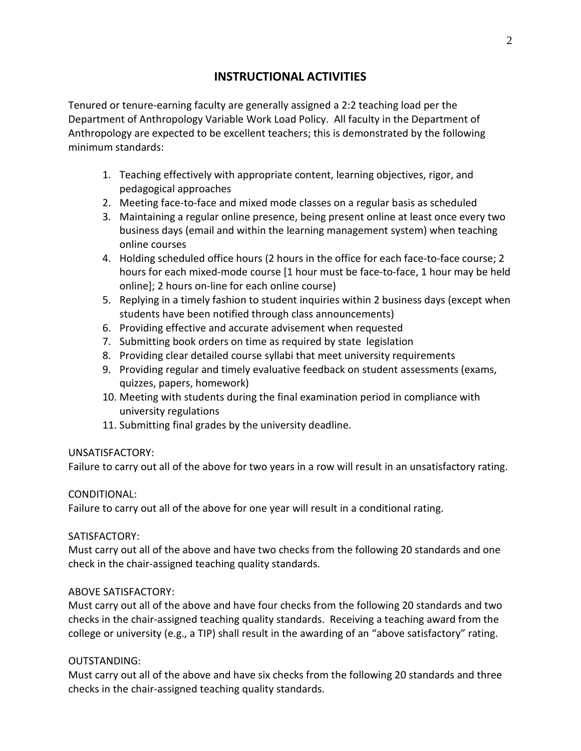## **INSTRUCTIONAL ACTIVITIES**

Tenured or tenure-earning faculty are generally assigned a 2:2 teaching load per the Department of Anthropology Variable Work Load Policy. All faculty in the Department of Anthropology are expected to be excellent teachers; this is demonstrated by the following minimum standards:

- 1. Teaching effectively with appropriate content, learning objectives, rigor, and pedagogical approaches
- 2. Meeting face-to-face and mixed mode classes on a regular basis as scheduled
- 3. Maintaining a regular online presence, being present online at least once every two business days (email and within the learning management system) when teaching online courses
- 4. Holding scheduled office hours (2 hours in the office for each face-to-face course; 2 hours for each mixed-mode course [1 hour must be face-to-face, 1 hour may be held online]; 2 hours on-line for each online course)
- 5. Replying in a timely fashion to student inquiries within 2 business days (except when students have been notified through class announcements)
- 6. Providing effective and accurate advisement when requested
- 7. Submitting book orders on time as required by state legislation
- 8. Providing clear detailed course syllabi that meet university requirements
- 9. Providing regular and timely evaluative feedback on student assessments (exams, quizzes, papers, homework)
- 10. Meeting with students during the final examination period in compliance with university regulations
- 11. Submitting final grades by the university deadline.

## UNSATISFACTORY:

Failure to carry out all of the above for two years in a row will result in an unsatisfactory rating.

## CONDITIONAL:

Failure to carry out all of the above for one year will result in a conditional rating.

### SATISFACTORY:

Must carry out all of the above and have two checks from the following 20 standards and one check in the chair-assigned teaching quality standards.

## ABOVE SATISFACTORY:

Must carry out all of the above and have four checks from the following 20 standards and two checks in the chair-assigned teaching quality standards. Receiving a teaching award from the college or university (e.g., a TIP) shall result in the awarding of an "above satisfactory" rating.

### OUTSTANDING:

Must carry out all of the above and have six checks from the following 20 standards and three checks in the chair-assigned teaching quality standards.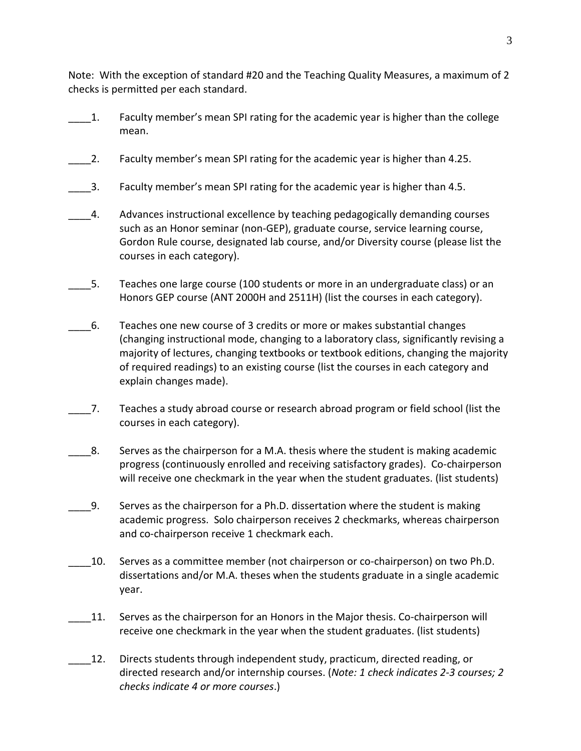Note: With the exception of standard #20 and the Teaching Quality Measures, a maximum of 2 checks is permitted per each standard.

- \_\_\_\_1. Faculty member's mean SPI rating for the academic year is higher than the college mean.
- \_\_\_\_2. Faculty member's mean SPI rating for the academic year is higher than 4.25.
- $\_\,$ 3. Faculty member's mean SPI rating for the academic year is higher than 4.5.
- \_\_\_\_4. Advances instructional excellence by teaching pedagogically demanding courses such as an Honor seminar (non-GEP), graduate course, service learning course, Gordon Rule course, designated lab course, and/or Diversity course (please list the courses in each category).
- 5. Teaches one large course (100 students or more in an undergraduate class) or an Honors GEP course (ANT 2000H and 2511H) (list the courses in each category).
- \_\_\_\_6. Teaches one new course of 3 credits or more or makes substantial changes (changing instructional mode, changing to a laboratory class, significantly revising a majority of lectures, changing textbooks or textbook editions, changing the majority of required readings) to an existing course (list the courses in each category and explain changes made).
- \_\_\_\_7. Teaches a study abroad course or research abroad program or field school (list the courses in each category).
- \_\_\_\_8. Serves as the chairperson for a M.A. thesis where the student is making academic progress (continuously enrolled and receiving satisfactory grades). Co-chairperson will receive one checkmark in the year when the student graduates. (list students)
- \_\_\_\_9. Serves as the chairperson for a Ph.D. dissertation where the student is making academic progress. Solo chairperson receives 2 checkmarks, whereas chairperson and co-chairperson receive 1 checkmark each.
- \_\_\_\_10. Serves as a committee member (not chairperson or co-chairperson) on two Ph.D. dissertations and/or M.A. theses when the students graduate in a single academic year.
- 11. Serves as the chairperson for an Honors in the Major thesis. Co-chairperson will receive one checkmark in the year when the student graduates. (list students)
- 12. Directs students through independent study, practicum, directed reading, or directed research and/or internship courses. (*Note: 1 check indicates 2-3 courses; 2 checks indicate 4 or more courses*.)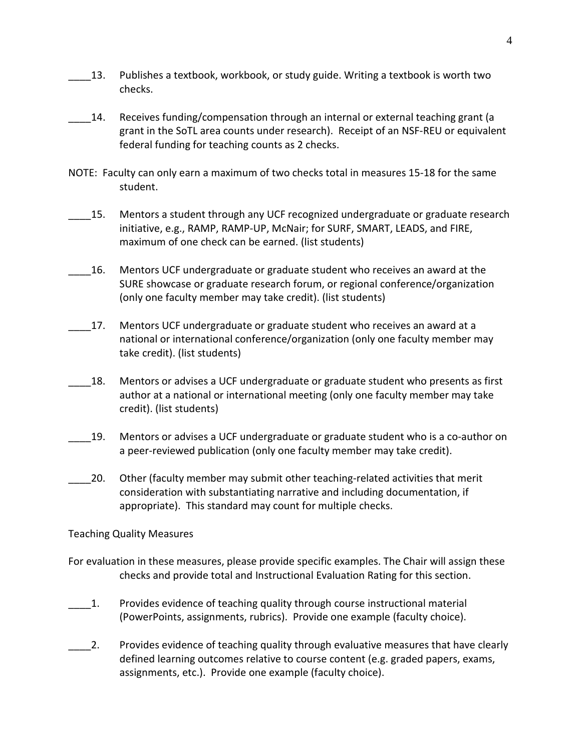- \_\_\_\_13. Publishes a textbook, workbook, or study guide. Writing a textbook is worth two checks.
- \_\_\_\_14. Receives funding/compensation through an internal or external teaching grant (a grant in the SoTL area counts under research). Receipt of an NSF-REU or equivalent federal funding for teaching counts as 2 checks.
- NOTE: Faculty can only earn a maximum of two checks total in measures 15-18 for the same student.
- 15. Mentors a student through any UCF recognized undergraduate or graduate research initiative, e.g., RAMP, RAMP-UP, McNair; for SURF, SMART, LEADS, and FIRE, maximum of one check can be earned. (list students)
- \_\_\_\_16. Mentors UCF undergraduate or graduate student who receives an award at the SURE showcase or graduate research forum, or regional conference/organization (only one faculty member may take credit). (list students)
	- 17. Mentors UCF undergraduate or graduate student who receives an award at a national or international conference/organization (only one faculty member may take credit). (list students)
- 18. Mentors or advises a UCF undergraduate or graduate student who presents as first author at a national or international meeting (only one faculty member may take credit). (list students)
- 19. Mentors or advises a UCF undergraduate or graduate student who is a co-author on a peer-reviewed publication (only one faculty member may take credit).
- \_\_\_\_20. Other (faculty member may submit other teaching-related activities that merit consideration with substantiating narrative and including documentation, if appropriate). This standard may count for multiple checks.

Teaching Quality Measures

- For evaluation in these measures, please provide specific examples. The Chair will assign these checks and provide total and Instructional Evaluation Rating for this section.
- \_\_\_\_1. Provides evidence of teaching quality through course instructional material (PowerPoints, assignments, rubrics). Provide one example (faculty choice).
- 2. Provides evidence of teaching quality through evaluative measures that have clearly defined learning outcomes relative to course content (e.g. graded papers, exams, assignments, etc.). Provide one example (faculty choice).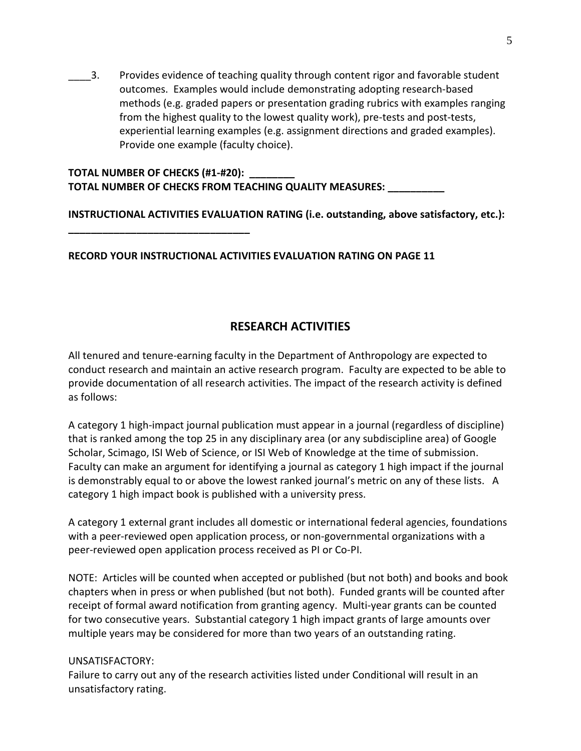3. Provides evidence of teaching quality through content rigor and favorable student outcomes. Examples would include demonstrating adopting research-based methods (e.g. graded papers or presentation grading rubrics with examples ranging from the highest quality to the lowest quality work), pre-tests and post-tests, experiential learning examples (e.g. assignment directions and graded examples). Provide one example (faculty choice).

**TOTAL NUMBER OF CHECKS (#1-#20): \_\_\_\_\_\_\_\_ TOTAL NUMBER OF CHECKS FROM TEACHING QUALITY MEASURES: \_\_\_\_\_\_\_\_\_\_**

**\_\_\_\_\_\_\_\_\_\_\_\_\_\_\_\_\_\_\_\_\_\_\_\_\_\_\_\_\_\_\_\_**

**INSTRUCTIONAL ACTIVITIES EVALUATION RATING (i.e. outstanding, above satisfactory, etc.):** 

**RECORD YOUR INSTRUCTIONAL ACTIVITIES EVALUATION RATING ON PAGE 11**

## **RESEARCH ACTIVITIES**

All tenured and tenure-earning faculty in the Department of Anthropology are expected to conduct research and maintain an active research program. Faculty are expected to be able to provide documentation of all research activities. The impact of the research activity is defined as follows:

A category 1 high-impact journal publication must appear in a journal (regardless of discipline) that is ranked among the top 25 in any disciplinary area (or any subdiscipline area) of Google Scholar, Scimago, ISI Web of Science, or ISI Web of Knowledge at the time of submission. Faculty can make an argument for identifying a journal as category 1 high impact if the journal is demonstrably equal to or above the lowest ranked journal's metric on any of these lists. A category 1 high impact book is published with a university press.

A category 1 external grant includes all domestic or international federal agencies, foundations with a peer-reviewed open application process, or non-governmental organizations with a peer-reviewed open application process received as PI or Co-PI.

NOTE: Articles will be counted when accepted or published (but not both) and books and book chapters when in press or when published (but not both). Funded grants will be counted after receipt of formal award notification from granting agency. Multi-year grants can be counted for two consecutive years. Substantial category 1 high impact grants of large amounts over multiple years may be considered for more than two years of an outstanding rating.

### UNSATISFACTORY:

Failure to carry out any of the research activities listed under Conditional will result in an unsatisfactory rating.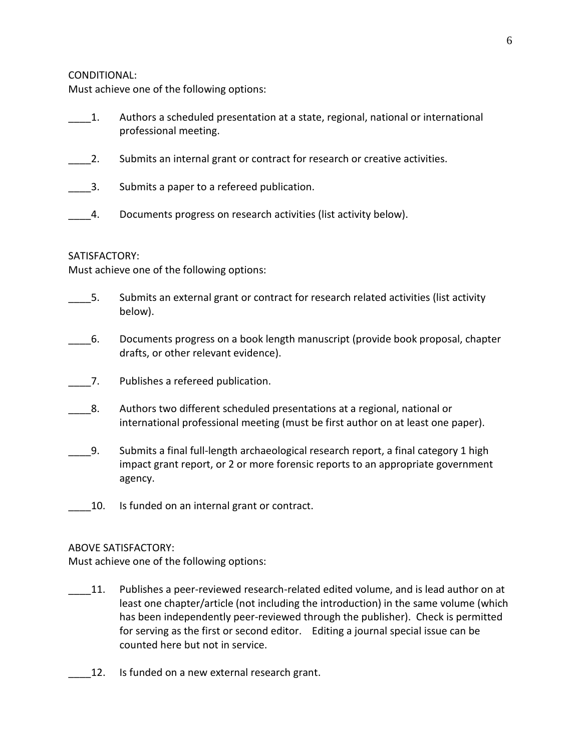#### CONDITIONAL:

Must achieve one of the following options:

- \_\_\_\_1. Authors a scheduled presentation at a state, regional, national or international professional meeting.
- 2. Submits an internal grant or contract for research or creative activities.
- 1. Submits a paper to a refereed publication.
- 4. Documents progress on research activities (list activity below).

### SATISFACTORY:

Must achieve one of the following options:

- 5. Submits an external grant or contract for research related activities (list activity below).
- \_\_\_\_6. Documents progress on a book length manuscript (provide book proposal, chapter drafts, or other relevant evidence).
- \_\_\_\_7. Publishes a refereed publication.
- 8. Authors two different scheduled presentations at a regional, national or international professional meeting (must be first author on at least one paper).
- \_\_\_\_9. Submits a final full-length archaeological research report, a final category 1 high impact grant report, or 2 or more forensic reports to an appropriate government agency.
- 10. Is funded on an internal grant or contract.

### ABOVE SATISFACTORY:

Must achieve one of the following options:

- 11. Publishes a peer-reviewed research-related edited volume, and is lead author on at least one chapter/article (not including the introduction) in the same volume (which has been independently peer-reviewed through the publisher). Check is permitted for serving as the first or second editor. Editing a journal special issue can be counted here but not in service.
- 12. Is funded on a new external research grant.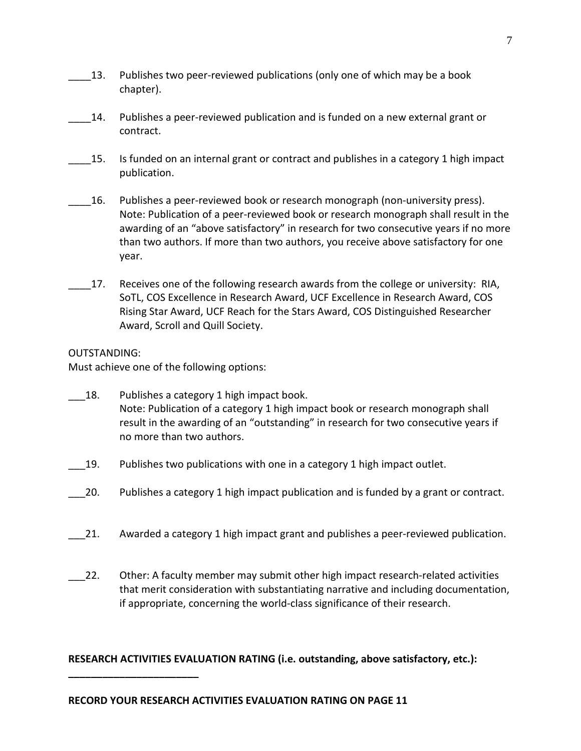- 13. Publishes two peer-reviewed publications (only one of which may be a book chapter).
- \_\_\_\_14. Publishes a peer-reviewed publication and is funded on a new external grant or contract.
- 15. Is funded on an internal grant or contract and publishes in a category 1 high impact publication.
- \_\_\_\_16. Publishes a peer-reviewed book or research monograph (non-university press). Note: Publication of a peer-reviewed book or research monograph shall result in the awarding of an "above satisfactory" in research for two consecutive years if no more than two authors. If more than two authors, you receive above satisfactory for one year.
- 17. Receives one of the following research awards from the college or university: RIA, SoTL, COS Excellence in Research Award, UCF Excellence in Research Award, COS Rising Star Award, UCF Reach for the Stars Award, COS Distinguished Researcher Award, Scroll and Quill Society.

### OUTSTANDING:

**\_\_\_\_\_\_\_\_\_\_\_\_\_\_\_\_\_\_\_\_\_\_\_**

Must achieve one of the following options:

- 18. Publishes a category 1 high impact book. Note: Publication of a category 1 high impact book or research monograph shall result in the awarding of an "outstanding" in research for two consecutive years if no more than two authors.
- 19. Publishes two publications with one in a category 1 high impact outlet.
- 20. Publishes a category 1 high impact publication and is funded by a grant or contract.
- 21. Awarded a category 1 high impact grant and publishes a peer-reviewed publication.
- \_\_\_22. Other: A faculty member may submit other high impact research-related activities that merit consideration with substantiating narrative and including documentation, if appropriate, concerning the world-class significance of their research.

## **RESEARCH ACTIVITIES EVALUATION RATING (i.e. outstanding, above satisfactory, etc.):**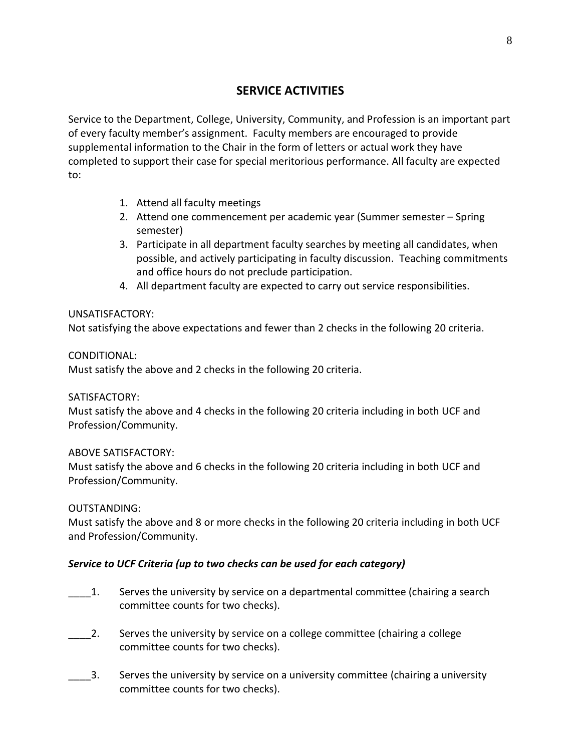## **SERVICE ACTIVITIES**

Service to the Department, College, University, Community, and Profession is an important part of every faculty member's assignment. Faculty members are encouraged to provide supplemental information to the Chair in the form of letters or actual work they have completed to support their case for special meritorious performance. All faculty are expected to:

- 1. Attend all faculty meetings
- 2. Attend one commencement per academic year (Summer semester Spring semester)
- 3. Participate in all department faculty searches by meeting all candidates, when possible, and actively participating in faculty discussion. Teaching commitments and office hours do not preclude participation.
- 4. All department faculty are expected to carry out service responsibilities.

### UNSATISFACTORY:

Not satisfying the above expectations and fewer than 2 checks in the following 20 criteria.

### CONDITIONAL:

Must satisfy the above and 2 checks in the following 20 criteria.

### SATISFACTORY:

Must satisfy the above and 4 checks in the following 20 criteria including in both UCF and Profession/Community.

## ABOVE SATISFACTORY:

Must satisfy the above and 6 checks in the following 20 criteria including in both UCF and Profession/Community.

## OUTSTANDING:

Must satisfy the above and 8 or more checks in the following 20 criteria including in both UCF and Profession/Community.

## *Service to UCF Criteria (up to two checks can be used for each category)*

- \_\_\_\_1. Serves the university by service on a departmental committee (chairing a search committee counts for two checks).
- \_\_\_\_2. Serves the university by service on a college committee (chairing a college committee counts for two checks).
- \_\_\_\_3. Serves the university by service on a university committee (chairing a university committee counts for two checks).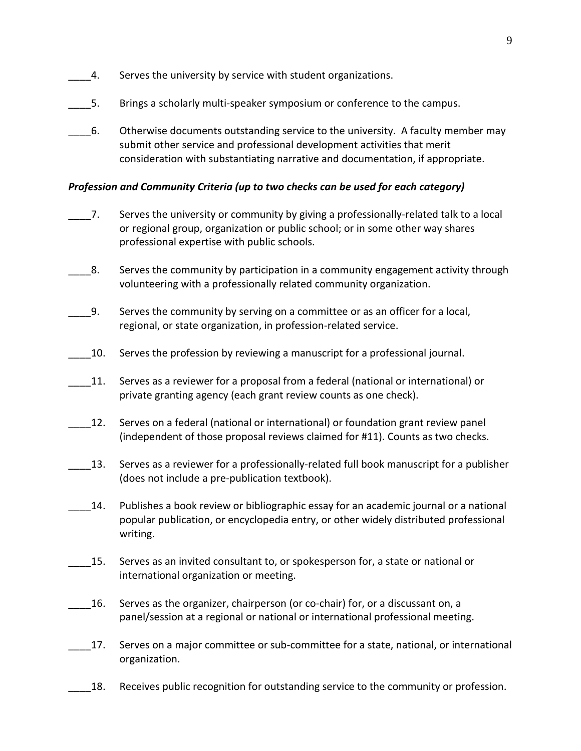- 4. Serves the university by service with student organizations.
- \_\_\_\_5. Brings a scholarly multi-speaker symposium or conference to the campus.
- \_\_\_\_6. Otherwise documents outstanding service to the university. A faculty member may submit other service and professional development activities that merit consideration with substantiating narrative and documentation, if appropriate.

### *Profession and Community Criteria (up to two checks can be used for each category)*

- \_\_\_\_7. Serves the university or community by giving a professionally-related talk to a local or regional group, organization or public school; or in some other way shares professional expertise with public schools.
- $\,$  8. Serves the community by participation in a community engagement activity through volunteering with a professionally related community organization.
- \_\_\_\_9. Serves the community by serving on a committee or as an officer for a local, regional, or state organization, in profession-related service.
- \_\_\_\_10. Serves the profession by reviewing a manuscript for a professional journal.
- 11. Serves as a reviewer for a proposal from a federal (national or international) or private granting agency (each grant review counts as one check).
- \_\_\_\_12. Serves on a federal (national or international) or foundation grant review panel (independent of those proposal reviews claimed for #11). Counts as two checks.
- 13. Serves as a reviewer for a professionally-related full book manuscript for a publisher (does not include a pre-publication textbook).
- 14. Publishes a book review or bibliographic essay for an academic journal or a national popular publication, or encyclopedia entry, or other widely distributed professional writing.
- 15. Serves as an invited consultant to, or spokesperson for, a state or national or international organization or meeting.
- \_\_\_\_16. Serves as the organizer, chairperson (or co-chair) for, or a discussant on, a panel/session at a regional or national or international professional meeting.
- 17. Serves on a major committee or sub-committee for a state, national, or international organization.
- 18. Receives public recognition for outstanding service to the community or profession.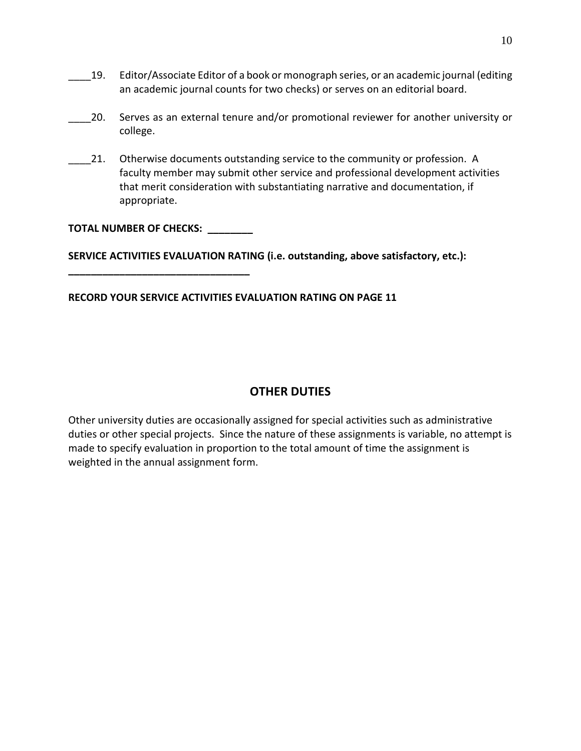- \_\_\_\_19. Editor/Associate Editor of a book or monograph series, or an academic journal (editing an academic journal counts for two checks) or serves on an editorial board.
- \_\_\_\_20. Serves as an external tenure and/or promotional reviewer for another university or college.
- 21. Otherwise documents outstanding service to the community or profession. A faculty member may submit other service and professional development activities that merit consideration with substantiating narrative and documentation, if appropriate.

#### **TOTAL NUMBER OF CHECKS: \_\_\_\_\_\_\_\_**

**\_\_\_\_\_\_\_\_\_\_\_\_\_\_\_\_\_\_\_\_\_\_\_\_\_\_\_\_\_\_\_\_**

**SERVICE ACTIVITIES EVALUATION RATING (i.e. outstanding, above satisfactory, etc.):** 

#### **RECORD YOUR SERVICE ACTIVITIES EVALUATION RATING ON PAGE 11**

## **OTHER DUTIES**

Other university duties are occasionally assigned for special activities such as administrative duties or other special projects. Since the nature of these assignments is variable, no attempt is made to specify evaluation in proportion to the total amount of time the assignment is weighted in the annual assignment form.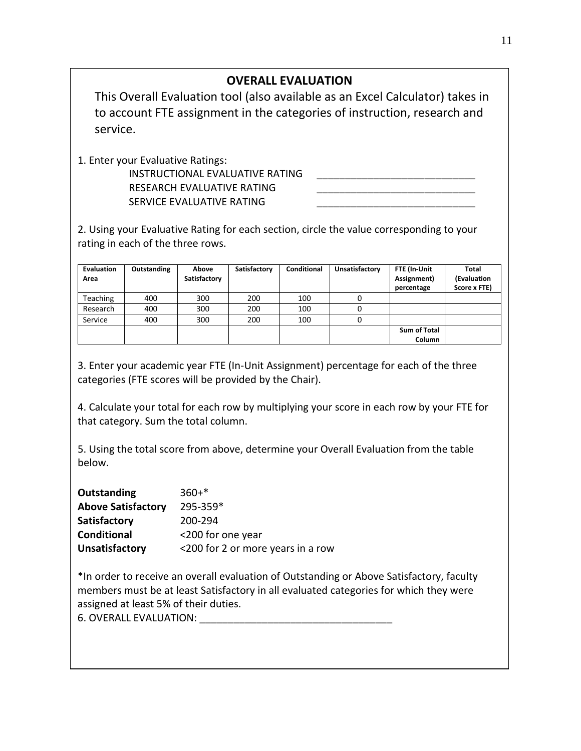# **OVERALL EVALUATION**

This Overall Evaluation tool (also available as an Excel Calculator) takes in to account FTE assignment in the categories of instruction, research and service.

1. Enter your Evaluative Ratings:

INSTRUCTIONAL EVALUATIVE RATING RESEARCH EVALUATIVE RATING SERVICE EVALUATIVE RATING

2. Using your Evaluative Rating for each section, circle the value corresponding to your rating in each of the three rows.

| Evaluation<br>Area | Outstanding | Above<br>Satisfactory | Satisfactory | Conditional | Unsatisfactory | FTE (In-Unit<br>Assignment)<br>percentage | Total<br>(Evaluation<br>Score x FTE) |
|--------------------|-------------|-----------------------|--------------|-------------|----------------|-------------------------------------------|--------------------------------------|
| <b>Teaching</b>    | 400         | 300                   | 200          | 100         | 0              |                                           |                                      |
| Research           | 400         | 300                   | 200          | 100         |                |                                           |                                      |
| Service            | 400         | 300                   | 200          | 100         |                |                                           |                                      |
|                    |             |                       |              |             |                | <b>Sum of Total</b>                       |                                      |
|                    |             |                       |              |             |                | Column                                    |                                      |

3. Enter your academic year FTE (In-Unit Assignment) percentage for each of the three categories (FTE scores will be provided by the Chair).

4. Calculate your total for each row by multiplying your score in each row by your FTE for that category. Sum the total column.

5. Using the total score from above, determine your Overall Evaluation from the table below.

| Outstanding               | $360+*$                           |
|---------------------------|-----------------------------------|
| <b>Above Satisfactory</b> | 295-359*                          |
| Satisfactory              | 200-294                           |
| <b>Conditional</b>        | <200 for one year                 |
| Unsatisfactory            | <200 for 2 or more years in a row |

\*In order to receive an overall evaluation of Outstanding or Above Satisfactory, faculty members must be at least Satisfactory in all evaluated categories for which they were assigned at least 5% of their duties.

6. OVERALL EVALUATION: \_\_\_\_\_\_\_\_\_\_\_\_\_\_\_\_\_\_\_\_\_\_\_\_\_\_\_\_\_\_\_\_\_\_